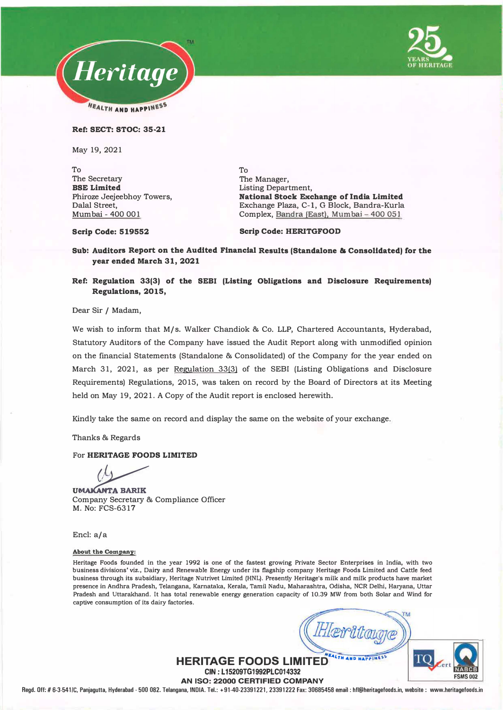



**Ref: SECT: STOC: 35-21** 

**May 19, 2021** 

**To The Secretary BSE Limited Phiroze Jeejeebhoy Towers, Dalal Street, Mumbai - 400 001** 

**To The Manager, Listing Department, National Stock Exchange of India Limited Exchange Plaza, C-1, G Block, Bandra-Kurla Complex, Bandra (East). Mumbai - 400 051** 

**Scrip Code: 519552** 

**Scrip Code: HERITGFOOD** 

**Sub: Auditors Report on the Audited Financial Results (Standalone & Consolidated) for the year ended March 31, 2021** 

## **Ref: Regulation 33(3) of the SEBI (Listing Obligations and Disclosure Requirements) Regulations, 2015,**

**Dear Sir / Madam,** 

**We wish to inform that M/s. Walker Chandiok & Co. LLP, Chartered Accountants, Hyderabad, Statutory Auditors of the Company have issued the Audit Report along with unmodified opinion on the financial Statements (Standalone & Consolidated) of the Company for the year ended on March 31, 2021, as per Regulation 33(3) of the SEBI (Listing Obligations and Disclosure Requirements) Regulations, 2015, was taken on record by the Board of Directors at its Meeting held on May 19, 2021. A Copy of the Audit report is enclosed herewith.** 

**Kindly take the same on record and display the same on the website of your exchange.** 

**Thanks & Regards** 

**For HERITAGE FOODS LIMITED** 

**Company Secretary & Compliance Officer UMAKANTA BARIK M. No: FCS-6317**

**Encl: a/a** 

#### **About the Company:**

**Heritage Foods founded in the year 1992 is one of the fastest growing Private Sector Enterprises in India, with two business divisions' viz., Dairy and Renewable Energy under its flagship company Heritage Foods Limited and Cattle feed business through its subsidiary, Heritage Nutrivet Limited (HNL). Presently Heritage's milk and milk products have market presence in Andhra Pradesh, Telangana, Karnataka, Kerala, Tamil Nadu, Maharashtra, Odisha, NCR Delhi, Haryana, Uttar Pradesh and Uttarakhand. It has total renewable energy generation capacity of 10.39 MW from both Solar and Wind for captive consumption of its dairy factories.** 



**HERITAGE FOODS LIMITED THERITAGE CIN: L15209TG1992PLC014332** 

**AN ISO: 22000 CERTIFIED COMPANY** 

**Regd. Off:# 6-3-541/C, Panjagutta, Hyderabad· 500 082. Telangana, INOIA. Tel.: +91-40-23391221, 23391222 Fax: 30685458 email: hfl@heritagefoods.in, website : www.heritagefoods.in**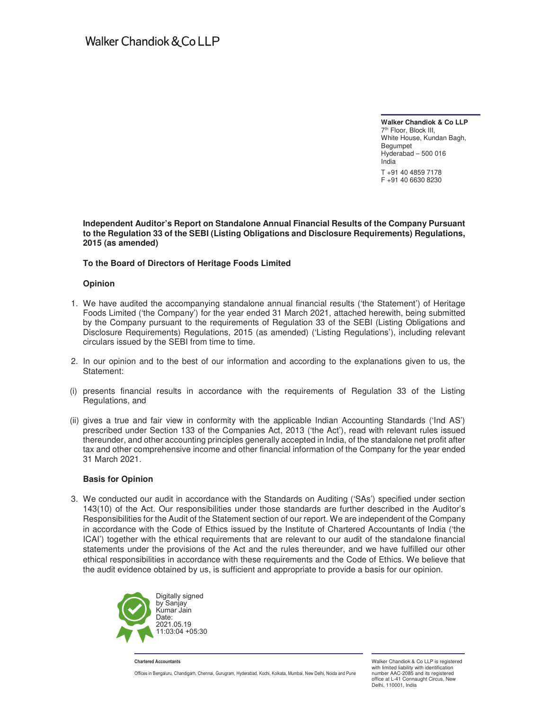**Walker Chandiok & Co LLP**  7th Floor, Block III, White House, Kundan Bagh, Begumpet Hyderabad – 500 016 India T +91 40 4859 7178 F +91 40 6630 8230

**Independent Auditor's Report on Standalone Annual Financial Results of the Company Pursuant to the Regulation 33 of the SEBI (Listing Obligations and Disclosure Requirements) Regulations, 2015 (as amended)** 

### **To the Board of Directors of Heritage Foods Limited**

### **Opinion**

- 1. We have audited the accompanying standalone annual financial results ('the Statement') of Heritage Foods Limited ('the Company') for the year ended 31 March 2021, attached herewith, being submitted by the Company pursuant to the requirements of Regulation 33 of the SEBI (Listing Obligations and Disclosure Requirements) Regulations, 2015 (as amended) ('Listing Regulations'), including relevant circulars issued by the SEBI from time to time.
- 2. In our opinion and to the best of our information and according to the explanations given to us, the Statement:
- (i) presents financial results in accordance with the requirements of Regulation 33 of the Listing Regulations, and
- (ii) gives a true and fair view in conformity with the applicable Indian Accounting Standards ('Ind AS') prescribed under Section 133 of the Companies Act, 2013 ('the Act'), read with relevant rules issued thereunder, and other accounting principles generally accepted in India, of the standalone net profit after tax and other comprehensive income and other financial information of the Company for the year ended 31 March 2021.

### **Basis for Opinion**

3. We conducted our audit in accordance with the Standards on Auditing ('SAs') specified under section 143(10) of the Act. Our responsibilities under those standards are further described in the Auditor's Responsibilities for the Audit of the Statement section of our report. We are independent of the Company in accordance with the Code of Ethics issued by the Institute of Chartered Accountants of India ('the ICAI') together with the ethical requirements that are relevant to our audit of the standalone financial statements under the provisions of the Act and the rules thereunder, and we have fulfilled our other ethical responsibilities in accordance with these requirements and the Code of Ethics. We believe that the audit evidence obtained by us, is sufficient and appropriate to provide a basis for our opinion.



**Chartered Accountants**

Offices in Bengaluru, Chandigarh, Chennai, Gurugram, Hyderabad, Kochi, Kolkata, Mumbai, New Delhi, Noida and Pune

Walker Chandiok & Co LLP is registered with limited liability with identification number AAC-2085 and its registered office at L-41 Connaught Circus, New Delhi, 110001, India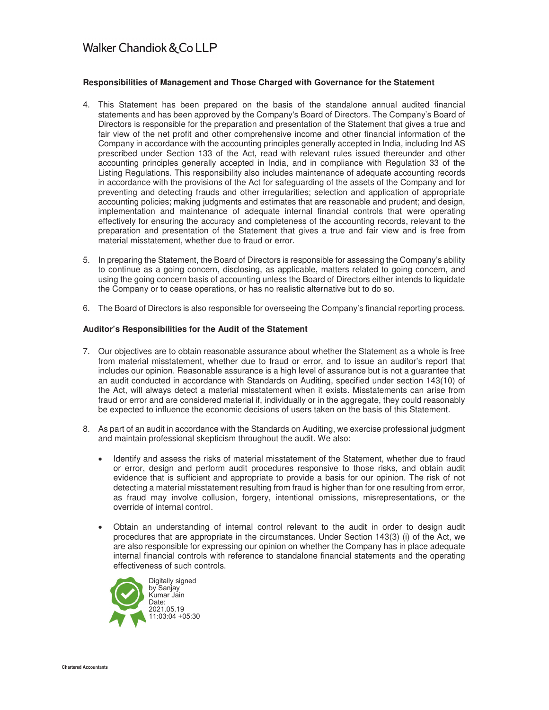## **Responsibilities of Management and Those Charged with Governance for the Statement**

- 4. This Statement has been prepared on the basis of the standalone annual audited financial statements and has been approved by the Company's Board of Directors. The Company's Board of Directors is responsible for the preparation and presentation of the Statement that gives a true and fair view of the net profit and other comprehensive income and other financial information of the Company in accordance with the accounting principles generally accepted in India, including Ind AS prescribed under Section 133 of the Act, read with relevant rules issued thereunder and other accounting principles generally accepted in India, and in compliance with Regulation 33 of the Listing Regulations. This responsibility also includes maintenance of adequate accounting records in accordance with the provisions of the Act for safeguarding of the assets of the Company and for preventing and detecting frauds and other irregularities; selection and application of appropriate accounting policies; making judgments and estimates that are reasonable and prudent; and design, implementation and maintenance of adequate internal financial controls that were operating effectively for ensuring the accuracy and completeness of the accounting records, relevant to the preparation and presentation of the Statement that gives a true and fair view and is free from material misstatement, whether due to fraud or error.
- 5. In preparing the Statement, the Board of Directors is responsible for assessing the Company's ability to continue as a going concern, disclosing, as applicable, matters related to going concern, and using the going concern basis of accounting unless the Board of Directors either intends to liquidate the Company or to cease operations, or has no realistic alternative but to do so.
- 6. The Board of Directors is also responsible for overseeing the Company's financial reporting process.

### **Auditor's Responsibilities for the Audit of the Statement**

- 7. Our objectives are to obtain reasonable assurance about whether the Statement as a whole is free from material misstatement, whether due to fraud or error, and to issue an auditor's report that includes our opinion. Reasonable assurance is a high level of assurance but is not a guarantee that an audit conducted in accordance with Standards on Auditing, specified under section 143(10) of the Act, will always detect a material misstatement when it exists. Misstatements can arise from fraud or error and are considered material if, individually or in the aggregate, they could reasonably be expected to influence the economic decisions of users taken on the basis of this Statement.
- 8. As part of an audit in accordance with the Standards on Auditing, we exercise professional judgment and maintain professional skepticism throughout the audit. We also:
	- Identify and assess the risks of material misstatement of the Statement, whether due to fraud or error, design and perform audit procedures responsive to those risks, and obtain audit evidence that is sufficient and appropriate to provide a basis for our opinion. The risk of not detecting a material misstatement resulting from fraud is higher than for one resulting from error, as fraud may involve collusion, forgery, intentional omissions, misrepresentations, or the override of internal control.
	- Obtain an understanding of internal control relevant to the audit in order to design audit procedures that are appropriate in the circumstances. Under Section 143(3) (i) of the Act, we are also responsible for expressing our opinion on whether the Company has in place adequate internal financial controls with reference to standalone financial statements and the operating effectiveness of such controls.

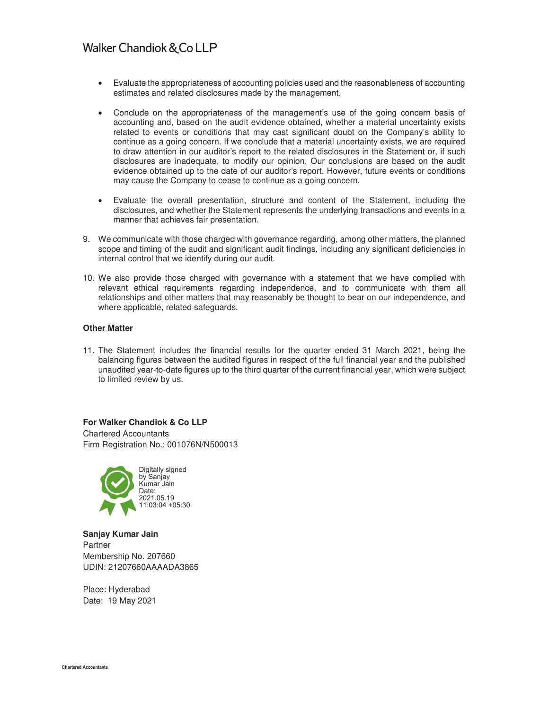- Evaluate the appropriateness of accounting policies used and the reasonableness of accounting estimates and related disclosures made by the management.
- Conclude on the appropriateness of the management's use of the going concern basis of accounting and, based on the audit evidence obtained, whether a material uncertainty exists related to events or conditions that may cast significant doubt on the Company's ability to continue as a going concern. If we conclude that a material uncertainty exists, we are required to draw attention in our auditor's report to the related disclosures in the Statement or, if such disclosures are inadequate, to modify our opinion. Our conclusions are based on the audit evidence obtained up to the date of our auditor's report. However, future events or conditions may cause the Company to cease to continue as a going concern.
- Evaluate the overall presentation, structure and content of the Statement, including the disclosures, and whether the Statement represents the underlying transactions and events in a manner that achieves fair presentation.
- 9. We communicate with those charged with governance regarding, among other matters, the planned scope and timing of the audit and significant audit findings, including any significant deficiencies in internal control that we identify during our audit.
- 10. We also provide those charged with governance with a statement that we have complied with relevant ethical requirements regarding independence, and to communicate with them all relationships and other matters that may reasonably be thought to bear on our independence, and where applicable, related safeguards.

### **Other Matter**

11. The Statement includes the financial results for the quarter ended 31 March 2021, being the balancing figures between the audited figures in respect of the full financial year and the published unaudited year-to-date figures up to the third quarter of the current financial year, which were subject to limited review by us.

**For Walker Chandiok & Co LLP**  Chartered Accountants Firm Registration No.: 001076N/N500013



**Sanjay Kumar Jain**  Partner Membership No. 207660 UDIN: 21207660AAAADA3865

Place: Hyderabad Date: 19 May 2021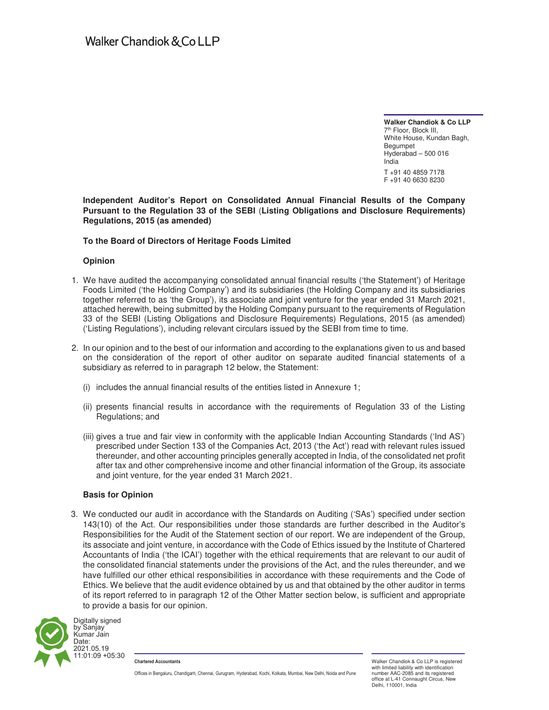**Walker Chandiok & Co LLP**  7th Floor, Block III, White House, Kundan Bagh, Begumpet Hyderabad – 500 016 India T +91 40 4859 7178 F +91 40 6630 8230

**Independent Auditor's Report on Consolidated Annual Financial Results of the Company Pursuant to the Regulation 33 of the SEBI** (**Listing Obligations and Disclosure Requirements) Regulations, 2015 (as amended)** 

## **To the Board of Directors of Heritage Foods Limited**

### **Opinion**

- 1. We have audited the accompanying consolidated annual financial results ('the Statement') of Heritage Foods Limited ('the Holding Company') and its subsidiaries (the Holding Company and its subsidiaries together referred to as 'the Group'), its associate and joint venture for the year ended 31 March 2021, attached herewith, being submitted by the Holding Company pursuant to the requirements of Regulation 33 of the SEBI (Listing Obligations and Disclosure Requirements) Regulations, 2015 (as amended) ('Listing Regulations'), including relevant circulars issued by the SEBI from time to time.
- 2. In our opinion and to the best of our information and according to the explanations given to us and based on the consideration of the report of other auditor on separate audited financial statements of a subsidiary as referred to in paragraph 12 below, the Statement:
	- (i) includes the annual financial results of the entities listed in Annexure 1;
	- (ii) presents financial results in accordance with the requirements of Regulation 33 of the Listing Regulations; and
	- (iii) gives a true and fair view in conformity with the applicable Indian Accounting Standards ('Ind AS') prescribed under Section 133 of the Companies Act, 2013 ('the Act') read with relevant rules issued thereunder, and other accounting principles generally accepted in India, of the consolidated net profit after tax and other comprehensive income and other financial information of the Group, its associate and joint venture, for the year ended 31 March 2021.

### **Basis for Opinion**

3. We conducted our audit in accordance with the Standards on Auditing ('SAs') specified under section 143(10) of the Act. Our responsibilities under those standards are further described in the Auditor's Responsibilities for the Audit of the Statement section of our report. We are independent of the Group, its associate and joint venture, in accordance with the Code of Ethics issued by the Institute of Chartered Accountants of India ('the ICAI') together with the ethical requirements that are relevant to our audit of the consolidated financial statements under the provisions of the Act, and the rules thereunder, and we have fulfilled our other ethical responsibilities in accordance with these requirements and the Code of Ethics. We believe that the audit evidence obtained by us and that obtained by the other auditor in terms of its report referred to in paragraph 12 of the Other Matter section below, is sufficient and appropriate to provide a basis for our opinion.



Kumar Jain 2021.05.19 11:01:09 +05:30

**Chartered Accountants**

Offices in Bengaluru, Chandigarh, Chennai, Gurugram, Hyderabad, Kochi, Kolkata, Mumbai, New Delhi, Noida and Pune

Walker Chandiok & Co LLP is registered with limited liability with identification number AAC-2085 and its registered office at L-41 Connaught Circus, New Delhi, 110001, India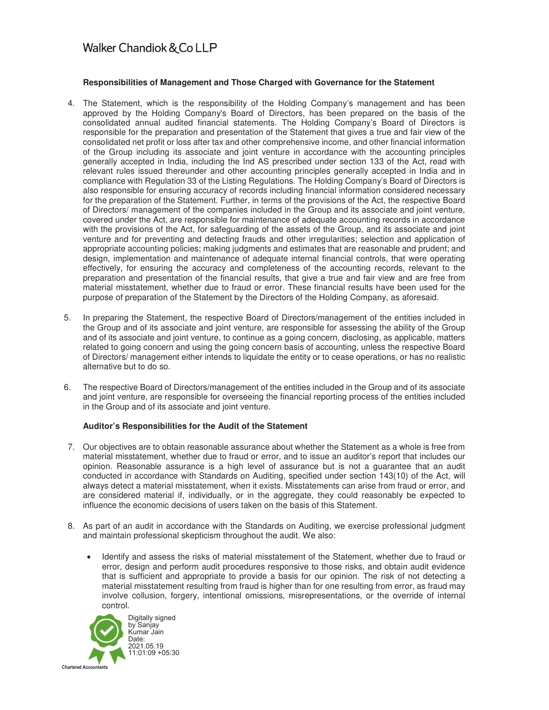## **Responsibilities of Management and Those Charged with Governance for the Statement**

- 4. The Statement, which is the responsibility of the Holding Company's management and has been approved by the Holding Company's Board of Directors, has been prepared on the basis of the consolidated annual audited financial statements. The Holding Company's Board of Directors is responsible for the preparation and presentation of the Statement that gives a true and fair view of the consolidated net profit or loss after tax and other comprehensive income, and other financial information of the Group including its associate and joint venture in accordance with the accounting principles generally accepted in India, including the Ind AS prescribed under section 133 of the Act, read with relevant rules issued thereunder and other accounting principles generally accepted in India and in compliance with Regulation 33 of the Listing Regulations. The Holding Company's Board of Directors is also responsible for ensuring accuracy of records including financial information considered necessary for the preparation of the Statement. Further, in terms of the provisions of the Act, the respective Board of Directors/ management of the companies included in the Group and its associate and joint venture, covered under the Act, are responsible for maintenance of adequate accounting records in accordance with the provisions of the Act, for safeguarding of the assets of the Group, and its associate and joint venture and for preventing and detecting frauds and other irregularities; selection and application of appropriate accounting policies; making judgments and estimates that are reasonable and prudent; and design, implementation and maintenance of adequate internal financial controls, that were operating effectively, for ensuring the accuracy and completeness of the accounting records, relevant to the preparation and presentation of the financial results, that give a true and fair view and are free from material misstatement, whether due to fraud or error. These financial results have been used for the purpose of preparation of the Statement by the Directors of the Holding Company, as aforesaid.
- 5. In preparing the Statement, the respective Board of Directors/management of the entities included in the Group and of its associate and joint venture, are responsible for assessing the ability of the Group and of its associate and joint venture, to continue as a going concern, disclosing, as applicable, matters related to going concern and using the going concern basis of accounting, unless the respective Board of Directors/ management either intends to liquidate the entity or to cease operations, or has no realistic alternative but to do so.
- 6. The respective Board of Directors/management of the entities included in the Group and of its associate and joint venture, are responsible for overseeing the financial reporting process of the entities included in the Group and of its associate and joint venture.

## **Auditor's Responsibilities for the Audit of the Statement**

- 7. Our objectives are to obtain reasonable assurance about whether the Statement as a whole is free from material misstatement, whether due to fraud or error, and to issue an auditor's report that includes our opinion. Reasonable assurance is a high level of assurance but is not a guarantee that an audit conducted in accordance with Standards on Auditing, specified under section 143(10) of the Act, will always detect a material misstatement, when it exists. Misstatements can arise from fraud or error, and are considered material if, individually, or in the aggregate, they could reasonably be expected to influence the economic decisions of users taken on the basis of this Statement.
- 8. As part of an audit in accordance with the Standards on Auditing, we exercise professional judgment and maintain professional skepticism throughout the audit. We also:
	- Identify and assess the risks of material misstatement of the Statement, whether due to fraud or error, design and perform audit procedures responsive to those risks, and obtain audit evidence that is sufficient and appropriate to provide a basis for our opinion. The risk of not detecting a material misstatement resulting from fraud is higher than for one resulting from error, as fraud may involve collusion, forgery, intentional omissions, misrepresentations, or the override of internal control.

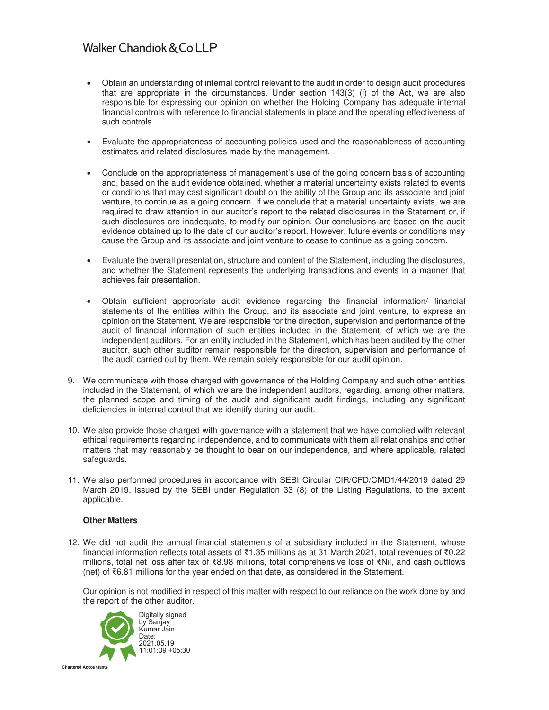- Obtain an understanding of internal control relevant to the audit in order to design audit procedures that are appropriate in the circumstances. Under section 143(3) (i) of the Act, we are also responsible for expressing our opinion on whether the Holding Company has adequate internal financial controls with reference to financial statements in place and the operating effectiveness of such controls.
- Evaluate the appropriateness of accounting policies used and the reasonableness of accounting estimates and related disclosures made by the management.
- Conclude on the appropriateness of management's use of the going concern basis of accounting and, based on the audit evidence obtained, whether a material uncertainty exists related to events or conditions that may cast significant doubt on the ability of the Group and its associate and joint venture, to continue as a going concern. If we conclude that a material uncertainty exists, we are required to draw attention in our auditor's report to the related disclosures in the Statement or, if such disclosures are inadequate, to modify our opinion. Our conclusions are based on the audit evidence obtained up to the date of our auditor's report. However, future events or conditions may cause the Group and its associate and joint venture to cease to continue as a going concern.
- Evaluate the overall presentation, structure and content of the Statement, including the disclosures, and whether the Statement represents the underlying transactions and events in a manner that achieves fair presentation.
- Obtain sufficient appropriate audit evidence regarding the financial information/ financial statements of the entities within the Group, and its associate and joint venture, to express an opinion on the Statement. We are responsible for the direction, supervision and performance of the audit of financial information of such entities included in the Statement, of which we are the independent auditors. For an entity included in the Statement, which has been audited by the other auditor, such other auditor remain responsible for the direction, supervision and performance of the audit carried out by them. We remain solely responsible for our audit opinion.
- 9. We communicate with those charged with governance of the Holding Company and such other entities included in the Statement, of which we are the independent auditors, regarding, among other matters, the planned scope and timing of the audit and significant audit findings, including any significant deficiencies in internal control that we identify during our audit.
- 10. We also provide those charged with governance with a statement that we have complied with relevant ethical requirements regarding independence, and to communicate with them all relationships and other matters that may reasonably be thought to bear on our independence, and where applicable, related safeguards.
- 11. We also performed procedures in accordance with SEBI Circular CIR/CFD/CMD1/44/2019 dated 29 March 2019, issued by the SEBI under Regulation 33 (8) of the Listing Regulations, to the extent applicable.

### **Other Matters**

12. We did not audit the annual financial statements of a subsidiary included in the Statement, whose financial information reflects total assets of ൠ1.35 millions as at 31 March 2021, total revenues of ൠ0.22 millions, total net loss after tax of ൠ8.98 millions, total comprehensive loss of ൠNil, and cash outflows (net) of  $ξ6.81$  millions for the year ended on that date, as considered in the Statement.

Our opinion is not modified in respect of this matter with respect to our reliance on the work done by and the report of the other auditor.



**Chartered Accounta**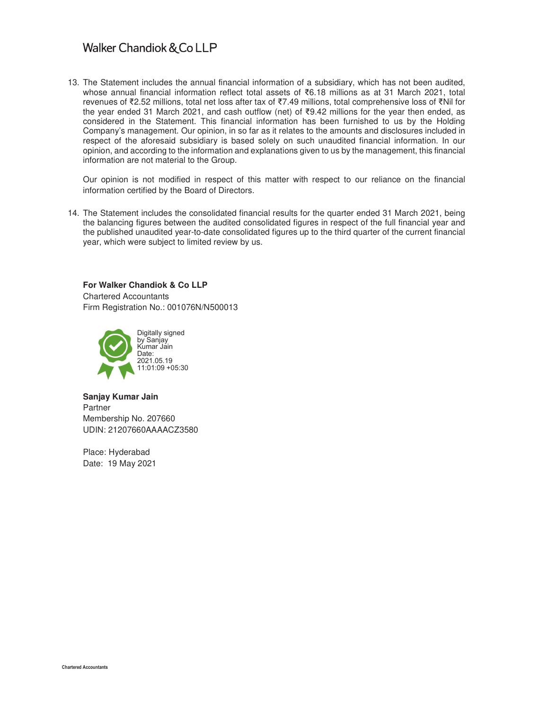13. The Statement includes the annual financial information of a subsidiary, which has not been audited, whose annual financial information reflect total assets of ൠ6.18 millions as at 31 March 2021, total revenues of ൠ2.52 millions, total net loss after tax of ൠ7.49 millions, total comprehensive loss of ൠNil for the year ended 31 March 2021, and cash outflow (net) of ₹9.42 millions for the year then ended, as considered in the Statement. This financial information has been furnished to us by the Holding Company's management. Our opinion, in so far as it relates to the amounts and disclosures included in respect of the aforesaid subsidiary is based solely on such unaudited financial information. In our opinion, and according to the information and explanations given to us by the management, this financial information are not material to the Group.

Our opinion is not modified in respect of this matter with respect to our reliance on the financial information certified by the Board of Directors.

14. The Statement includes the consolidated financial results for the quarter ended 31 March 2021, being the balancing figures between the audited consolidated figures in respect of the full financial year and the published unaudited year-to-date consolidated figures up to the third quarter of the current financial year, which were subject to limited review by us.

**For Walker Chandiok & Co LLP** Chartered Accountants Firm Registration No.: 001076N/N500013



**Sanjay Kumar Jain**  Partner Membership No. 207660 UDIN: 21207660AAAACZ3580

Place: Hyderabad Date: 19 May 2021